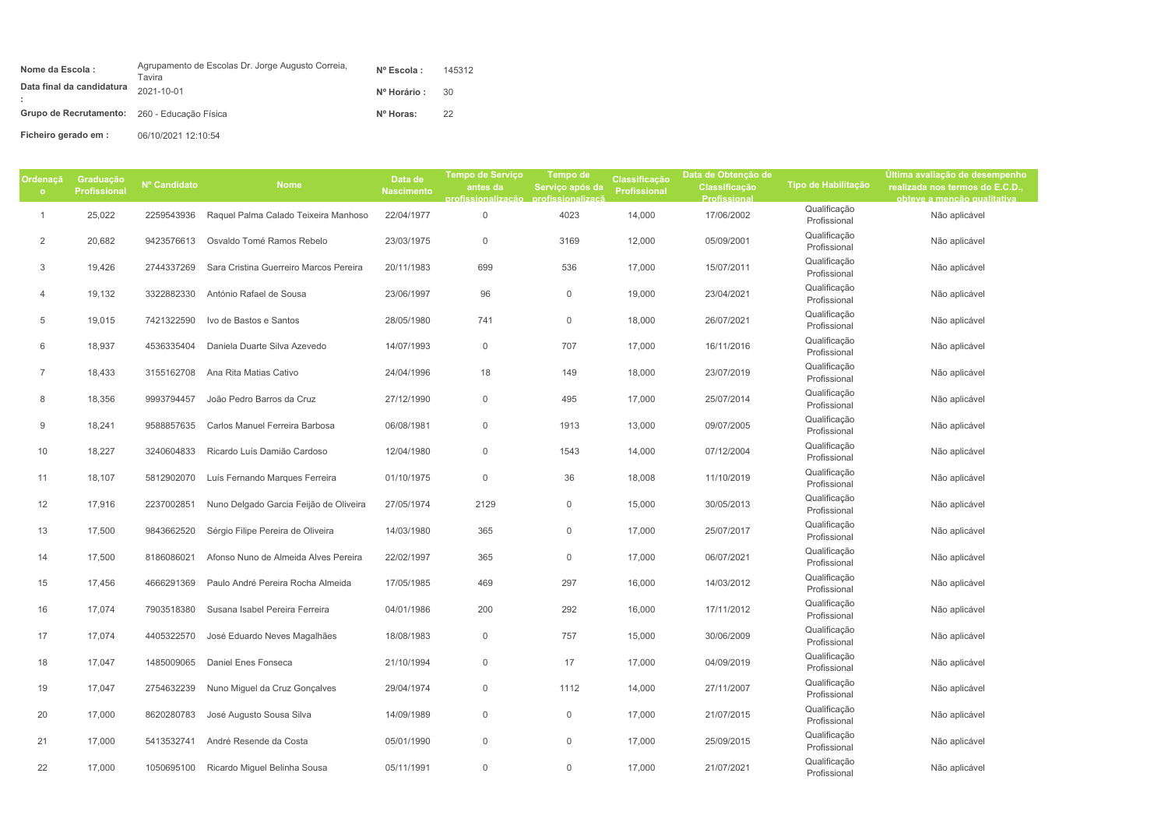| Nome da Escola:                              | Agrupamento de Escolas Dr. Jorge Augusto Correia,<br>Tavira | $N^{\circ}$ Escola : | 145312 |
|----------------------------------------------|-------------------------------------------------------------|----------------------|--------|
| Data final da candidatura                    | 2021-10-01                                                  | Nº Horário :         | -30    |
| Grupo de Recrutamento: 260 - Educação Física |                                                             | Nº Horas:            | 22     |
| Ficheiro gerado em :                         | 06/10/2021 12:10:54                                         |                      |        |

| Ordenaçã       | Graduação           |              |                                        | Data de           | <b>Tempo de Serviço</b>              | Tempo de            | Classificação       | Data de Obtenção de |                              | Última avaliação de desempenho  |
|----------------|---------------------|--------------|----------------------------------------|-------------------|--------------------------------------|---------------------|---------------------|---------------------|------------------------------|---------------------------------|
| $\circ$        | <b>Profissional</b> | Nº Candidato | <b>Nome</b>                            | <b>Nascimento</b> | antes da                             | Serviço após da     | <b>Profissional</b> | Classificação       | Tipo de Habilitação          | realizada nos termos do E.C.D., |
|                |                     |              |                                        |                   | profissionalização profissionalizaçã |                     |                     | Profissional        |                              | obteve a mencão qualitativa     |
| $\mathbf{1}$   | 25,022              | 2259543936   | Raquel Palma Calado Teixeira Manhoso   | 22/04/1977        | $\mathbf 0$                          | 4023                | 14,000              | 17/06/2002          | Qualificação<br>Profissional | Não aplicável                   |
| 2              | 20,682              | 9423576613   | Osvaldo Tomé Ramos Rebelo              | 23/03/1975        | $\mathbf 0$                          | 3169                | 12,000              | 05/09/2001          | Qualificação<br>Profissional | Não aplicável                   |
| 3              | 19,426              | 2744337269   | Sara Cristina Guerreiro Marcos Pereira | 20/11/1983        | 699                                  | 536                 | 17,000              | 15/07/2011          | Qualificação<br>Profissional | Não aplicável                   |
| $\overline{4}$ | 19,132              | 3322882330   | António Rafael de Sousa                | 23/06/1997        | 96                                   | 0                   | 19,000              | 23/04/2021          | Qualificação<br>Profissional | Não aplicável                   |
| 5              | 19,015              | 7421322590   | Ivo de Bastos e Santos                 | 28/05/1980        | 741                                  | $\mathsf{O}\xspace$ | 18,000              | 26/07/2021          | Qualificação<br>Profissional | Não aplicável                   |
| 6              | 18,937              | 4536335404   | Daniela Duarte Silva Azevedo           | 14/07/1993        | $\mathsf{O}\xspace$                  | 707                 | 17,000              | 16/11/2016          | Qualificação<br>Profissional | Não aplicável                   |
| $\overline{7}$ | 18,433              | 3155162708   | Ana Rita Matias Cativo                 | 24/04/1996        | 18                                   | 149                 | 18,000              | 23/07/2019          | Qualificação<br>Profissional | Não aplicável                   |
| 8              | 18,356              | 9993794457   | João Pedro Barros da Cruz              | 27/12/1990        | $\mathsf{O}\xspace$                  | 495                 | 17,000              | 25/07/2014          | Qualificação<br>Profissional | Não aplicável                   |
| 9              | 18,241              | 9588857635   | Carlos Manuel Ferreira Barbosa         | 06/08/1981        | $\mathsf{O}\xspace$                  | 1913                | 13,000              | 09/07/2005          | Qualificação<br>Profissional | Não aplicável                   |
| 10             | 18,227              | 3240604833   | Ricardo Luís Damião Cardoso            | 12/04/1980        | $\mathsf{O}\xspace$                  | 1543                | 14,000              | 07/12/2004          | Qualificação<br>Profissional | Não aplicável                   |
| 11             | 18,107              | 5812902070   | Luís Fernando Marques Ferreira         | 01/10/1975        | $\mathsf{O}\xspace$                  | 36                  | 18,008              | 11/10/2019          | Qualificação<br>Profissional | Não aplicável                   |
| 12             | 17,916              | 2237002851   | Nuno Delgado Garcia Feijão de Oliveira | 27/05/1974        | 2129                                 | $\mathbf 0$         | 15,000              | 30/05/2013          | Qualificação<br>Profissional | Não aplicável                   |
| 13             | 17,500              | 9843662520   | Sérgio Filipe Pereira de Oliveira      | 14/03/1980        | 365                                  | 0                   | 17,000              | 25/07/2017          | Qualificação<br>Profissional | Não aplicável                   |
| 14             | 17,500              | 8186086021   | Afonso Nuno de Almeida Alves Pereira   | 22/02/1997        | 365                                  | 0                   | 17,000              | 06/07/2021          | Qualificação<br>Profissional | Não aplicável                   |
| 15             | 17,456              | 4666291369   | Paulo André Pereira Rocha Almeida      | 17/05/1985        | 469                                  | 297                 | 16,000              | 14/03/2012          | Qualificação<br>Profissional | Não aplicável                   |
| 16             | 17,074              | 7903518380   | Susana Isabel Pereira Ferreira         | 04/01/1986        | 200                                  | 292                 | 16,000              | 17/11/2012          | Qualificação<br>Profissional | Não aplicável                   |
| 17             | 17,074              | 4405322570   | José Eduardo Neves Magalhães           | 18/08/1983        | $\mathbf 0$                          | 757                 | 15,000              | 30/06/2009          | Qualificação<br>Profissional | Não aplicável                   |
| 18             | 17,047              | 1485009065   | Daniel Enes Fonseca                    | 21/10/1994        | $\mathbf 0$                          | 17                  | 17,000              | 04/09/2019          | Qualificação<br>Profissional | Não aplicável                   |
| 19             | 17,047              | 2754632239   | Nuno Miguel da Cruz Gonçalves          | 29/04/1974        | $\mathsf{O}\xspace$                  | 1112                | 14,000              | 27/11/2007          | Qualificação<br>Profissional | Não aplicável                   |
| 20             | 17,000              | 8620280783   | José Augusto Sousa Silva               | 14/09/1989        | $\mathsf{O}\xspace$                  | 0                   | 17,000              | 21/07/2015          | Qualificação<br>Profissional | Não aplicável                   |
| 21             | 17,000              | 5413532741   | André Resende da Costa                 | 05/01/1990        | $\mathsf{O}\xspace$                  | 0                   | 17,000              | 25/09/2015          | Qualificação<br>Profissional | Não aplicável                   |
| 22             | 17,000              | 1050695100   | Ricardo Miguel Belinha Sousa           | 05/11/1991        | $\mathbb O$                          | 0                   | 17,000              | 21/07/2021          | Qualificação<br>Profissional | Não aplicável                   |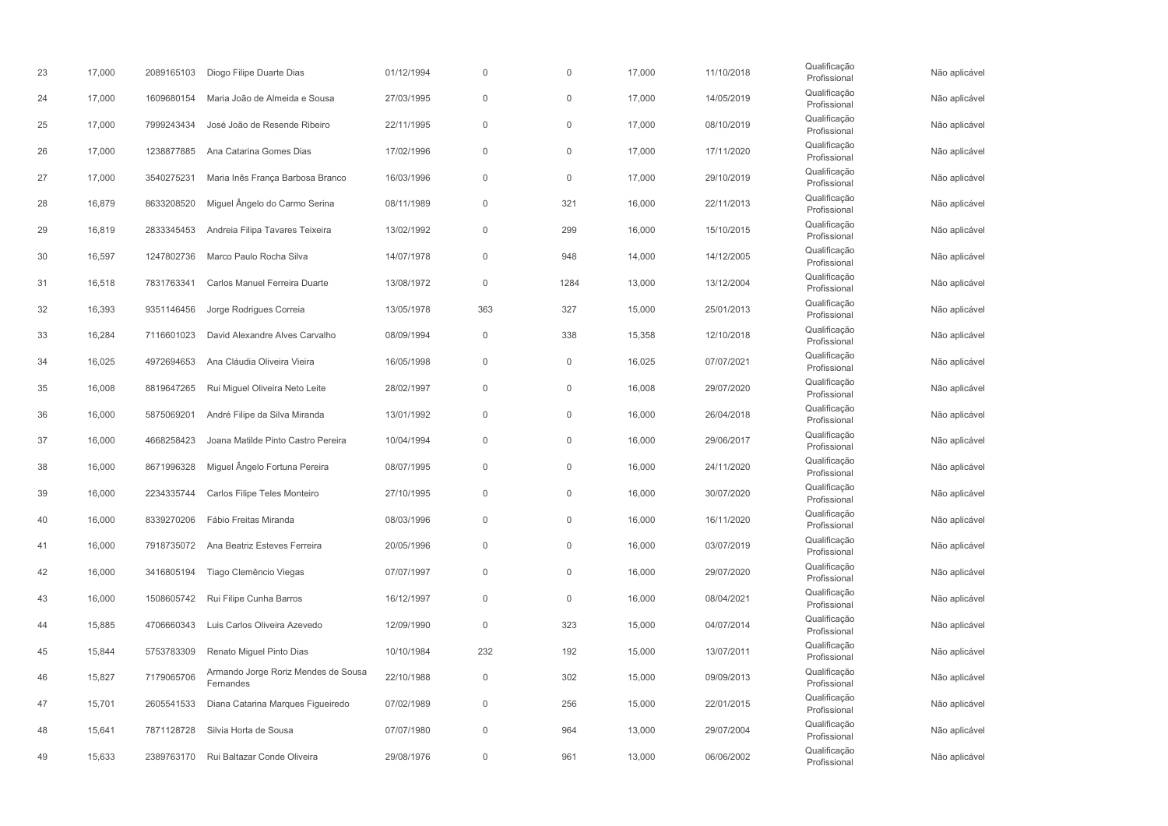| 23 | 17,000 | 2089165103 | Diogo Filipe Duarte Dias                         | 01/12/1994 | $\Omega$            | $\mathbf 0$         | 17,000 | 11/10/2018 | Qualificação<br>Profissional | Não aplicável |
|----|--------|------------|--------------------------------------------------|------------|---------------------|---------------------|--------|------------|------------------------------|---------------|
| 24 | 17,000 | 1609680154 | Maria João de Almeida e Sousa                    | 27/03/1995 | $\mathsf{O}\xspace$ | $\mathbf 0$         | 17,000 | 14/05/2019 | Qualificação<br>Profissional | Não aplicável |
| 25 | 17,000 | 7999243434 | José João de Resende Ribeiro                     | 22/11/1995 | $\mathsf{O}\xspace$ | $\mathsf{O}\xspace$ | 17,000 | 08/10/2019 | Qualificação<br>Profissional | Não aplicável |
| 26 | 17,000 | 1238877885 | Ana Catarina Gomes Dias                          | 17/02/1996 | $\mathsf{O}\xspace$ | $\mathbb O$         | 17,000 | 17/11/2020 | Qualificação<br>Profissional | Não aplicável |
| 27 | 17,000 | 3540275231 | Maria Inês França Barbosa Branco                 | 16/03/1996 | $\mathbf{0}$        | $\mathbf 0$         | 17,000 | 29/10/2019 | Qualificação<br>Profissional | Não aplicável |
| 28 | 16,879 | 8633208520 | Miguel Ângelo do Carmo Serina                    | 08/11/1989 | $\mathsf{O}\xspace$ | 321                 | 16,000 | 22/11/2013 | Qualificação<br>Profissional | Não aplicável |
| 29 | 16,819 | 2833345453 | Andreia Filipa Tavares Teixeira                  | 13/02/1992 | $\mathsf{O}\xspace$ | 299                 | 16,000 | 15/10/2015 | Qualificação<br>Profissional | Não aplicável |
| 30 | 16,597 | 1247802736 | Marco Paulo Rocha Silva                          | 14/07/1978 | $\mathsf{O}\xspace$ | 948                 | 14,000 | 14/12/2005 | Qualificação<br>Profissional | Não aplicável |
| 31 | 16,518 | 7831763341 | Carlos Manuel Ferreira Duarte                    | 13/08/1972 | $\mathbf{0}$        | 1284                | 13,000 | 13/12/2004 | Qualificação<br>Profissional | Não aplicável |
| 32 | 16,393 | 9351146456 | Jorge Rodrigues Correia                          | 13/05/1978 | 363                 | 327                 | 15,000 | 25/01/2013 | Qualificação<br>Profissional | Não aplicável |
| 33 | 16,284 | 7116601023 | David Alexandre Alves Carvalho                   | 08/09/1994 | $\mathbf 0$         | 338                 | 15,358 | 12/10/2018 | Qualificação<br>Profissional | Não aplicável |
| 34 | 16,025 | 4972694653 | Ana Cláudia Oliveira Vieira                      | 16/05/1998 | $\mathsf{O}\xspace$ | $\mathbf 0$         | 16,025 | 07/07/2021 | Qualificação<br>Profissional | Não aplicável |
| 35 | 16,008 | 8819647265 | Rui Miguel Oliveira Neto Leite                   | 28/02/1997 | $\mathsf{O}\xspace$ | $\mathsf{O}\xspace$ | 16,008 | 29/07/2020 | Qualificação<br>Profissional | Não aplicável |
| 36 | 16,000 | 5875069201 | André Filipe da Silva Miranda                    | 13/01/1992 | $\theta$            | $\mathbf 0$         | 16,000 | 26/04/2018 | Qualificação<br>Profissional | Não aplicável |
| 37 | 16,000 | 4668258423 | Joana Matilde Pinto Castro Pereira               | 10/04/1994 | $\mathsf{O}\xspace$ | $\mathsf{O}\xspace$ | 16,000 | 29/06/2017 | Qualificação<br>Profissional | Não aplicável |
| 38 | 16,000 | 8671996328 | Miguel Ângelo Fortuna Pereira                    | 08/07/1995 | $\mathsf{O}\xspace$ | $\mathsf{O}\xspace$ | 16,000 | 24/11/2020 | Qualificação<br>Profissional | Não aplicável |
| 39 | 16,000 | 2234335744 | Carlos Filipe Teles Monteiro                     | 27/10/1995 | $\mathbf 0$         | $\mathbf 0$         | 16,000 | 30/07/2020 | Qualificação<br>Profissional | Não aplicável |
| 40 | 16,000 | 8339270206 | Fábio Freitas Miranda                            | 08/03/1996 | $\mathsf{O}\xspace$ | $\mathbb O$         | 16,000 | 16/11/2020 | Qualificação<br>Profissional | Não aplicável |
| 41 | 16,000 | 7918735072 | Ana Beatriz Esteves Ferreira                     | 20/05/1996 | $\mathsf{O}\xspace$ | $\mathbb O$         | 16,000 | 03/07/2019 | Qualificação<br>Profissional | Não aplicável |
| 42 | 16,000 | 3416805194 | Tiago Clemêncio Viegas                           | 07/07/1997 | $\mathbb O$         | $\mathbf 0$         | 16,000 | 29/07/2020 | Qualificação<br>Profissional | Não aplicável |
| 43 | 16,000 | 1508605742 | Rui Filipe Cunha Barros                          | 16/12/1997 | $\mathbf 0$         | $\mathbf 0$         | 16,000 | 08/04/2021 | Qualificação<br>Profissional | Não aplicável |
| 44 | 15,885 | 4706660343 | Luis Carlos Oliveira Azevedo                     | 12/09/1990 | $\mathsf{O}\xspace$ | 323                 | 15,000 | 04/07/2014 | Qualificação<br>Profissional | Não aplicável |
| 45 | 15,844 | 5753783309 | Renato Miguel Pinto Dias                         | 10/10/1984 | 232                 | 192                 | 15,000 | 13/07/2011 | Qualificação<br>Profissional | Não aplicável |
| 46 | 15,827 | 7179065706 | Armando Jorge Roriz Mendes de Sousa<br>Fernandes | 22/10/1988 | $\mathsf{O}\xspace$ | 302                 | 15,000 | 09/09/2013 | Qualificação<br>Profissional | Não aplicável |
| 47 | 15,701 | 2605541533 | Diana Catarina Marques Figueiredo                | 07/02/1989 | $\mathsf{O}\xspace$ | 256                 | 15,000 | 22/01/2015 | Qualificação<br>Profissional | Não aplicável |
| 48 | 15,641 | 7871128728 | Silvia Horta de Sousa                            | 07/07/1980 | $\mathsf{O}\xspace$ | 964                 | 13,000 | 29/07/2004 | Qualificação<br>Profissional | Não aplicável |
| 49 | 15,633 | 2389763170 | Rui Baltazar Conde Oliveira                      | 29/08/1976 | $\Omega$            | 961                 | 13,000 | 06/06/2002 | Qualificação<br>Profissional | Não aplicável |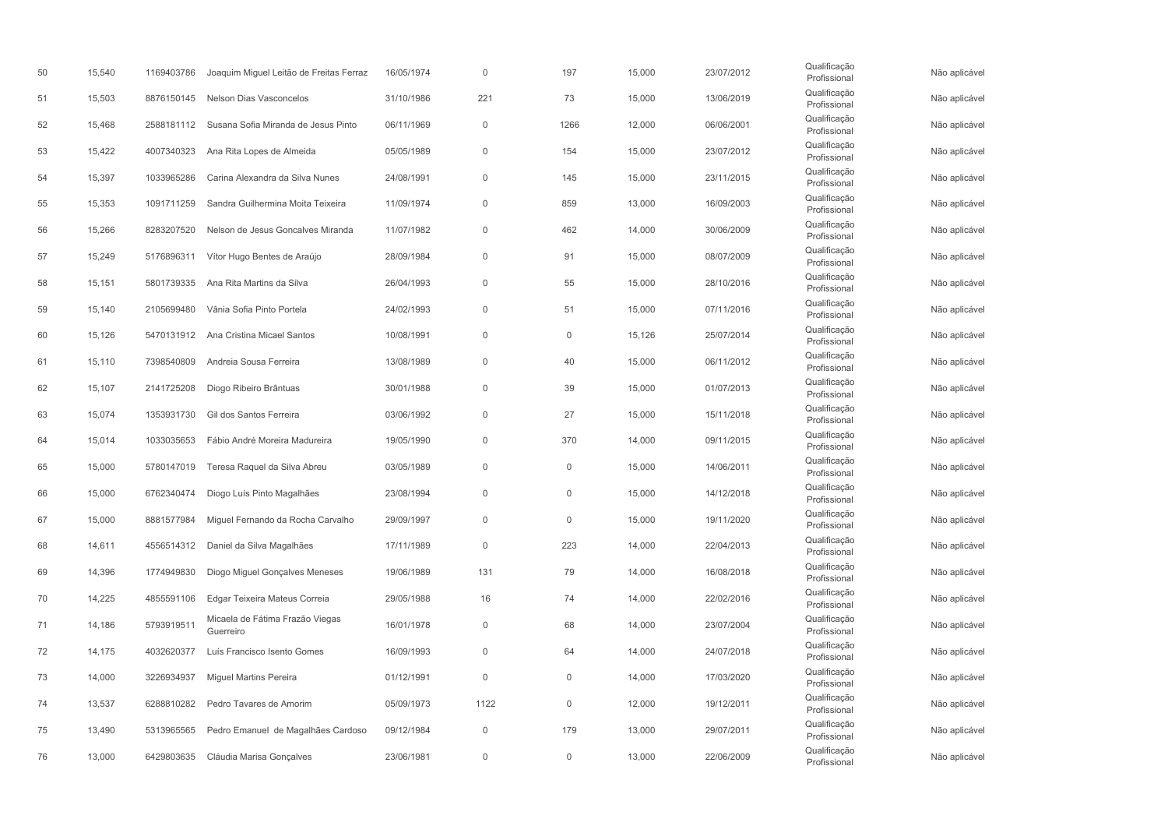| 50 | 15,540 | 1169403786 | Joaquim Miguel Leitão de Freitas Ferraz      | 16/05/1974 | $\Omega$            | 197                 | 15,000 | 23/07/2012 | Qualificação<br>Profissional | Não aplicável |
|----|--------|------------|----------------------------------------------|------------|---------------------|---------------------|--------|------------|------------------------------|---------------|
| 51 | 15,503 | 8876150145 | <b>Nelson Dias Vasconcelos</b>               | 31/10/1986 | 221                 | 73                  | 15,000 | 13/06/2019 | Qualificação<br>Profissional | Não aplicável |
| 52 | 15,468 | 2588181112 | Susana Sofia Miranda de Jesus Pinto          | 06/11/1969 | $\mathsf{O}\xspace$ | 1266                | 12,000 | 06/06/2001 | Qualificação<br>Profissional | Não aplicável |
| 53 | 15,422 | 4007340323 | Ana Rita Lopes de Almeida                    | 05/05/1989 | $\mathsf{O}\xspace$ | 154                 | 15,000 | 23/07/2012 | Qualificação<br>Profissional | Não aplicável |
| 54 | 15,397 | 1033965286 | Carina Alexandra da Silva Nunes              | 24/08/1991 | $\mathbf{0}$        | 145                 | 15,000 | 23/11/2015 | Qualificação<br>Profissional | Não aplicável |
| 55 | 15,353 | 1091711259 | Sandra Guilhermina Moita Teixeira            | 11/09/1974 | $\mathsf{O}\xspace$ | 859                 | 13,000 | 16/09/2003 | Qualificação<br>Profissional | Não aplicável |
| 56 | 15,266 | 8283207520 | Nelson de Jesus Goncalves Miranda            | 11/07/1982 | $\mathsf{O}\xspace$ | 462                 | 14,000 | 30/06/2009 | Qualificação<br>Profissional | Não aplicável |
| 57 | 15,249 | 5176896311 | Vítor Hugo Bentes de Araújo                  | 28/09/1984 | $\mathbf 0$         | 91                  | 15,000 | 08/07/2009 | Qualificação<br>Profissional | Não aplicável |
| 58 | 15,151 | 5801739335 | Ana Rita Martins da Silva                    | 26/04/1993 | $\mathbf{0}$        | 55                  | 15,000 | 28/10/2016 | Qualificação<br>Profissional | Não aplicável |
| 59 | 15,140 | 2105699480 | Vânia Sofia Pinto Portela                    | 24/02/1993 | $\mathsf{O}\xspace$ | 51                  | 15,000 | 07/11/2016 | Qualificação<br>Profissional | Não aplicável |
| 60 | 15,126 | 5470131912 | Ana Cristina Micael Santos                   | 10/08/1991 | $\mathbf 0$         | $\mathbf 0$         | 15,126 | 25/07/2014 | Qualificação<br>Profissional | Não aplicável |
| 61 | 15,110 | 7398540809 | Andreia Sousa Ferreira                       | 13/08/1989 | $\mathbf 0$         | 40                  | 15,000 | 06/11/2012 | Qualificação<br>Profissional | Não aplicável |
| 62 | 15,107 | 2141725208 | Diogo Ribeiro Brântuas                       | 30/01/1988 | $\mathsf{O}\xspace$ | 39                  | 15,000 | 01/07/2013 | Qualificação<br>Profissional | Não aplicável |
| 63 | 15,074 | 1353931730 | Gil dos Santos Ferreira                      | 03/06/1992 | $\mathbf 0$         | 27                  | 15,000 | 15/11/2018 | Qualificação<br>Profissional | Não aplicável |
| 64 | 15,014 | 1033035653 | Fábio André Moreira Madureira                | 19/05/1990 | $\mathsf{O}\xspace$ | 370                 | 14,000 | 09/11/2015 | Qualificação<br>Profissional | Não aplicável |
| 65 | 15,000 | 5780147019 | Teresa Raquel da Silva Abreu                 | 03/05/1989 | $\mathsf{O}\xspace$ | $\mathsf{O}\xspace$ | 15,000 | 14/06/2011 | Qualificação<br>Profissional | Não aplicável |
| 66 | 15,000 | 6762340474 | Diogo Luís Pinto Magalhães                   | 23/08/1994 | $\mathbf 0$         | $\mathbf 0$         | 15,000 | 14/12/2018 | Qualificação<br>Profissional | Não aplicável |
| 67 | 15,000 | 8881577984 | Miquel Fernando da Rocha Carvalho            | 29/09/1997 | $\mathsf{O}\xspace$ | $\mathsf{O}\xspace$ | 15,000 | 19/11/2020 | Qualificação<br>Profissional | Não aplicável |
| 68 | 14,611 | 4556514312 | Daniel da Silva Magalhães                    | 17/11/1989 | $\mathsf{O}\xspace$ | 223                 | 14,000 | 22/04/2013 | Qualificação<br>Profissional | Não aplicável |
| 69 | 14,396 | 1774949830 | Diogo Miguel Gonçalves Meneses               | 19/06/1989 | 131                 | 79                  | 14,000 | 16/08/2018 | Qualificação<br>Profissional | Não aplicável |
| 70 | 14,225 | 4855591106 | Edgar Teixeira Mateus Correia                | 29/05/1988 | 16                  | 74                  | 14,000 | 22/02/2016 | Qualificação<br>Profissional | Não aplicável |
| 71 | 14,186 | 5793919511 | Micaela de Fátima Frazão Viegas<br>Guerreiro | 16/01/1978 | $\mathsf{O}\xspace$ | 68                  | 14,000 | 23/07/2004 | Qualificação<br>Profissional | Não aplicável |
| 72 | 14,175 | 4032620377 | Luís Francisco Isento Gomes                  | 16/09/1993 | $\mathsf{O}\xspace$ | 64                  | 14,000 | 24/07/2018 | Qualificação<br>Profissional | Não aplicável |
| 73 | 14,000 | 3226934937 | <b>Miguel Martins Pereira</b>                | 01/12/1991 | $\mathsf{O}\xspace$ | $\mathsf{O}\xspace$ | 14,000 | 17/03/2020 | Qualificação<br>Profissional | Não aplicável |
| 74 | 13,537 | 6288810282 | Pedro Tavares de Amorim                      | 05/09/1973 | 1122                | $\mathsf{O}\xspace$ | 12,000 | 19/12/2011 | Qualificação<br>Profissional | Não aplicável |
| 75 | 13,490 | 5313965565 | Pedro Emanuel de Magalhães Cardoso           | 09/12/1984 | $\mathsf{O}\xspace$ | 179                 | 13,000 | 29/07/2011 | Qualificação<br>Profissional | Não aplicável |
| 76 | 13,000 | 6429803635 | Cláudia Marisa Gonçalves                     | 23/06/1981 | $\Omega$            | $\mathbf 0$         | 13,000 | 22/06/2009 | Qualificação<br>Profissional | Não aplicável |